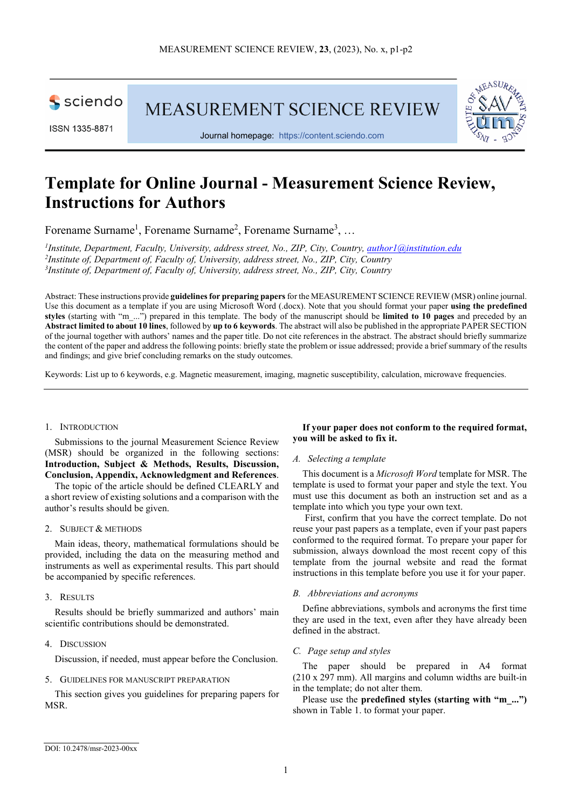

ISSN 1335-8871

MEASUREMENT SCIENCE REVIEW



Journal homepage: [https://content.sciendo.com](https://content.sciendo.com/view/journals/msr/msr-overview.xml)

# **Template for Online Journal - Measurement Science Review, Instructions for Authors**

Forename Surname<sup>1</sup>, Forename Surname<sup>2</sup>, Forename Surname<sup>3</sup>, ...

*1 Institute, Department, Faculty, University, address street, No., ZIP, City, Country, [author1@institution.edu](mailto:author1@institution.edu) 2 Institute of, Department of, Faculty of, University, address street, No., ZIP, City, Country 3 Institute of, Department of, Faculty of, University, address street, No., ZIP, City, Country*

Abstract: These instructions provide **guidelines for preparing papers** for the MEASUREMENT SCIENCE REVIEW (MSR) online journal. Use this document as a template if you are using Microsoft Word (.docx). Note that you should format your paper **using the predefined styles** (starting with "m\_...") prepared in this template. The body of the manuscript should be **limited to 10 pages** and preceded by an **Abstract limited to about 10 lines**, followed by **up to 6 keywords**. The abstract will also be published in the appropriate PAPER SECTION of the journal together with authors' names and the paper title. Do not cite references in the abstract. The abstract should briefly summarize the content of the paper and address the following points: briefly state the problem or issue addressed; provide a brief summary of the results and findings; and give brief concluding remarks on the study outcomes.

Keywords: List up to 6 keywords, e.g. Magnetic measurement, imaging, magnetic susceptibility, calculation, microwave frequencies.

#### 1. INTRODUCTION

Submissions to the journal Measurement Science Review (MSR) should be organized in the following sections: **Introduction, Subject & Methods, Results, Discussion, Conclusion, Appendix, Acknowledgment and References**.

The topic of the article should be defined CLEARLY and a short review of existing solutions and a comparison with the author's results should be given.

#### 2. SUBJECT & METHODS

Main ideas, theory, mathematical formulations should be provided, including the data on the measuring method and instruments as well as experimental results. This part should be accompanied by specific references.

#### 3. RESULTS

Results should be briefly summarized and authors' main scientific contributions should be demonstrated.

# 4. DISCUSSION

Discussion, if needed, must appear before the Conclusion.

# 5. GUIDELINES FOR MANUSCRIPT PREPARATION

This section gives you guidelines for preparing papers for MSR.

# **If your paper does not conform to the required format, you will be asked to fix it.**

# *A. Selecting a template*

This document is a *Microsoft Word* template for MSR. The template is used to format your paper and style the text. You must use this document as both an instruction set and as a template into which you type your own text.

First, confirm that you have the correct template. Do not reuse your past papers as a template, even if your past papers conformed to the required format. To prepare your paper for submission, always download the most recent copy of this template from the journal website and read the format instructions in this template before you use it for your paper.

# *B. Abbreviations and acronyms*

Define abbreviations, symbols and acronyms the first time they are used in the text, even after they have already been defined in the abstract.

# *C. Page setup and styles*

The paper should be prepared in A4 format (210 x 297 mm). All margins and column widths are built-in in the template; do not alter them.

Please use the **predefined styles (starting with "m\_...")** shown in Table 1. to format your paper.

DOI: 10.2478/msr-2023-00xx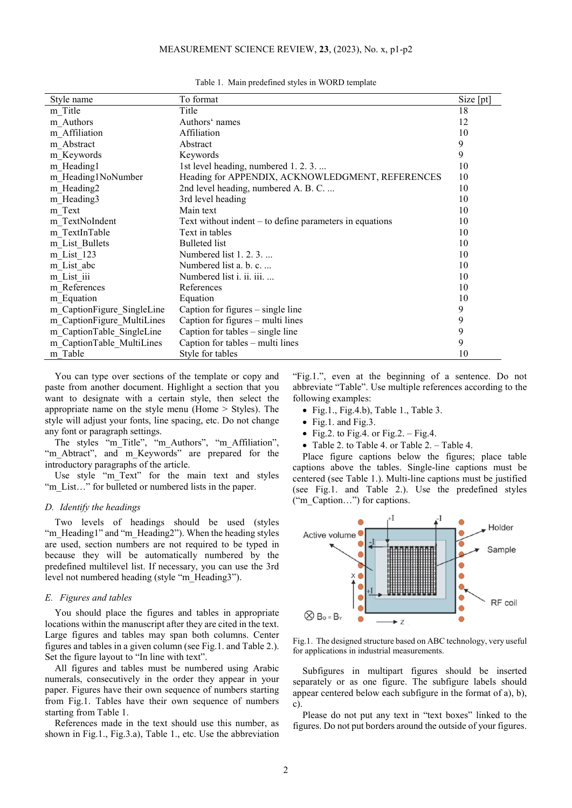#### MEASUREMENT SCIENCE REVIEW, **23**, (2023), No. x, p1-p2

| Style name                 | To format                                                 | Size [pt] |
|----------------------------|-----------------------------------------------------------|-----------|
| m Title                    | Title                                                     | 18        |
| m Authors                  | Authors' names                                            | 12        |
| m Affiliation              | Affiliation                                               | 10        |
| m_Abstract                 | Abstract                                                  | 9         |
| m Keywords                 | Keywords                                                  | 9         |
| m Heading1                 | 1st level heading, numbered 1.2.3                         | 10        |
| m Heading1NoNumber         | Heading for APPENDIX, ACKNOWLEDGMENT, REFERENCES          | 10        |
| m Heading2                 | 2nd level heading, numbered A. B. C.                      | 10        |
| m_Heading3                 | 3rd level heading                                         | 10        |
| m Text                     | Main text                                                 | 10        |
| m TextNoIndent             | Text without indent $-$ to define parameters in equations | 10        |
| m TextInTable              | Text in tables                                            | 10        |
| m List Bullets             | <b>Bulleted</b> list                                      | 10        |
| m List 123                 | Numbered list 1. 2. 3.                                    | 10        |
| m List abc                 | Numbered list a. b. c.                                    | 10        |
| m List iii                 | Numbered list i. ii. iii.                                 | 10        |
| m References               | References                                                | 10        |
| m_Equation                 | Equation                                                  | 10        |
| m CaptionFigure SingleLine | Caption for figures $-$ single line                       | 9         |
| m CaptionFigure MultiLines | Caption for figures – multi lines                         | 9         |
| m CaptionTable SingleLine  | Caption for tables $-$ single line                        | 9         |
| m CaptionTable MultiLines  | Caption for tables – multi lines                          | 9         |
| m Table                    | Style for tables                                          | 10        |

Table 1. Main predefined styles in WORD template

You can type over sections of the template or copy and paste from another document. Highlight a section that you want to designate with a certain style, then select the appropriate name on the style menu (Home > Styles). The style will adjust your fonts, line spacing, etc. Do not change any font or paragraph settings.

The styles "m\_Title", "m\_Authors", "m\_Affiliation", "m\_Abtract", and m\_Keywords" are prepared for the introductory paragraphs of the article.

Use style "m\_Text" for the main text and styles "m\_List..." for bulleted or numbered lists in the paper.

#### *D. Identify the headings*

Two levels of headings should be used (styles "m\_Heading1" and "m\_Heading2"). When the heading styles are used, section numbers are not required to be typed in because they will be automatically numbered by the predefined multilevel list. If necessary, you can use the 3rd level not numbered heading (style "m\_Heading3").

#### *E. Figures and tables*

You should place the figures and tables in appropriate locations within the manuscript after they are cited in the text. Large figures and tables may span both columns. Center figures and tables in a given column (see Fig.1. and Table 2.). Set the figure layout to "In line with text".

All figures and tables must be numbered using Arabic numerals, consecutively in the order they appear in your paper. Figures have their own sequence of numbers starting from Fig.1. Tables have their own sequence of numbers starting from Table 1.

References made in the text should use this number, as shown in Fig.1., Fig.3.a), Table 1., etc. Use the abbreviation "Fig.1.", even at the beginning of a sentence. Do not abbreviate "Table". Use multiple references according to the following examples:

- Fig.1., Fig.4.b), Table 1., Table 3.
- Fig.1. and Fig.3.
- Fig.2. to Fig.4. or Fig.2. Fig.4.
- Table 2. to Table 4. or Table 2. Table 4.

Place figure captions below the figures; place table captions above the tables. Single-line captions must be centered (see Table 1.). Multi-line captions must be justified (see Fig.1. and Table 2.). Use the predefined styles ("m\_Caption…") for captions.



Fig.1. The designed structure based on ABC technology, very useful for applications in industrial measurements.

Subfigures in multipart figures should be inserted separately or as one figure. The subfigure labels should appear centered below each subfigure in the format of a), b), c).

Please do not put any text in "text boxes" linked to the figures. Do not put borders around the outside of your figures.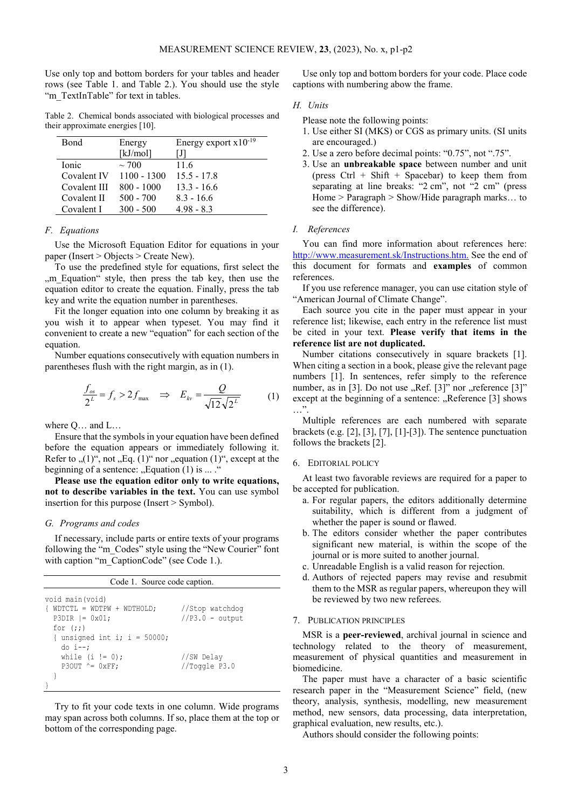Use only top and bottom borders for your tables and header rows (see Table 1. and Table 2.). You should use the style "m\_TextInTable" for text in tables.

Table 2. Chemical bonds associated with biological processes and their approximate energies [10].

| Bond         | Energy        | Energy export $x10^{-19}$ |
|--------------|---------------|---------------------------|
|              | [kJ/mol]      | IJI                       |
| Ionic        | $\sim$ 700    | 11.6                      |
| Covalent IV  | $1100 - 1300$ | $15.5 - 17.8$             |
| Covalent III | $800 - 1000$  | $13.3 - 16.6$             |
| Covalent II  | $500 - 700$   | $8.3 - 16.6$              |
| Covalent I   | $300 - 500$   | $498 - 83$                |

### *F. Equations*

Use the Microsoft Equation Editor for equations in your paper (Insert > Objects > Create New).

To use the predefined style for equations, first select the "m Equation" style, then press the tab key, then use the equation editor to create the equation. Finally, press the tab key and write the equation number in parentheses.

Fit the longer equation into one column by breaking it as you wish it to appear when typeset. You may find it convenient to create a new "equation" for each section of the equation.

Number equations consecutively with equation numbers in parentheses flush with the right margin, as in (1).

$$
\frac{f_{os}}{2^L} = f_s > 2f_{\text{max}} \quad \Rightarrow \quad E_{kv} = \frac{Q}{\sqrt{12}\sqrt{2^L}} \tag{1}
$$

where Q… and L…

Ensure that the symbols in your equation have been defined before the equation appears or immediately following it. Refer to  $(1)$ ", not  $E_q$ .  $(1)$ " nor  $Q$ , equation  $(1)$ ", except at the beginning of a sentence:  $\Box$  Equation (1) is  $\ldots$ .

**Please use the equation editor only to write equations, not to describe variables in the text.** You can use symbol insertion for this purpose (Insert > Symbol).

#### *G. Programs and codes*

If necessary, include parts or entire texts of your programs following the "m\_Codes" style using the "New Courier" font with caption "m\_CaptionCode" (see Code 1.).

| Code 1. Source code caption.                                                                            |                                      |  |  |  |
|---------------------------------------------------------------------------------------------------------|--------------------------------------|--|--|--|
| void main (void)<br>$WDTCTL = WDTPW + WDTHOLD;$<br>$\left\{ \right.$<br>$P3DIR = 0x01;$<br>for $(i; j)$ | //Stop watchdog<br>$//P3.0 - output$ |  |  |  |
| { unsigned int i; i = 50000;<br>$do$ $i--$ ;<br>while $(i != 0)$ ;<br>$P3OUT \cong 0xFF$                | //SW Delay<br>//Toggle P3.0          |  |  |  |
|                                                                                                         |                                      |  |  |  |

Try to fit your code texts in one column. Wide programs may span across both columns. If so, place them at the top or bottom of the corresponding page.

Use only top and bottom borders for your code. Place code captions with numbering abow the frame.

#### *H. Units*

Please note the following points:

- 1. Use either SI (MKS) or CGS as primary units. (SI units are encouraged.)
- 2. Use a zero before decimal points: "0.75", not ".75".
- 3. Use an **unbreakable space** between number and unit (press  $Ctrl + Shift + Spacebar)$  to keep them from separating at line breaks: "2 cm", not "2 cm" (press Home > Paragraph > Show/Hide paragraph marks… to see the difference).

#### *I. References*

You can find more information about references here: [http://www.measurement.sk/Instructions.htm.](http://www.measurement.sk/Instructions.htm) See the end of this document for formats and **examples** of common references.

If you use reference manager, you can use citation style of "American Journal of Climate Change".

Each source you cite in the paper must appear in your reference list; likewise, each entry in the reference list must be cited in your text. **Please verify that items in the reference list are not duplicated.**

Number citations consecutively in square brackets [1]. When citing a section in a book, please give the relevant page numbers [1]. In sentences, refer simply to the reference number, as in  $[3]$ . Do not use ,, Ref.  $[3]$ " nor ,, reference  $[3]$ " except at the beginning of a sentence: "Reference [3] shows …".

Multiple references are each numbered with separate brackets (e.g. [2], [3], [7], [1]-[3]). The sentence punctuation follows the brackets [2].

#### 6. EDITORIAL POLICY

At least two favorable reviews are required for a paper to be accepted for publication.

- a. For regular papers, the editors additionally determine suitability, which is different from a judgment of whether the paper is sound or flawed.
- b. The editors consider whether the paper contributes significant new material, is within the scope of the journal or is more suited to another journal.
- c. Unreadable English is a valid reason for rejection.
- d. Authors of rejected papers may revise and resubmit them to the MSR as regular papers, whereupon they will be reviewed by two new referees.
- 7. PUBLICATION PRINCIPLES

MSR is a **peer-reviewed**, archival journal in science and technology related to the theory of measurement, measurement of physical quantities and measurement in biomedicine.

The paper must have a character of a basic scientific research paper in the "Measurement Science" field, (new theory, analysis, synthesis, modelling, new measurement method, new sensors, data processing, data interpretation, graphical evaluation, new results, etc.).

Authors should consider the following points: